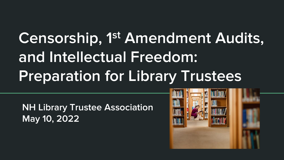# Censorship, 1st Amendment Audits, and Intellectual Freedom: Preparation for Library Trustees

NH Library Trustee Association May 10, 2022

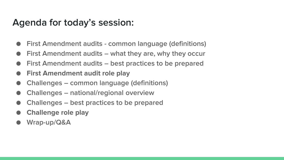## Agenda for today's session:

- **First Amendment audits common language (definitions)**
- First Amendment audits what they are, why they occur
- First Amendment audits best practices to be prepared
- **First Amendment audit role play**
- Challenges common language (definitions)
- Challenges national/regional overview
- Challenges best practices to be prepared
- **Challenge role play**
- Wrap-up/Q&A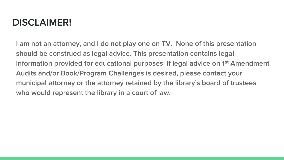# DISCLAIMER!

I am not an attorney, and I do not play one on TV. None of this presentation should be construed as legal advice. This presentation contains legal information provided for educational purposes. If legal advice on 1<sup>st</sup> Amendment Audits and/or Book/Program Challenges is desired, please contact your municipal attorney or the attorney retained by the library's board of trustees who would represent the library in a court of law.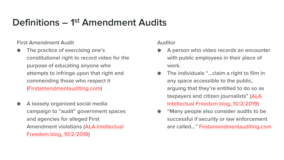# Definitions - 1<sup>st</sup> Amendment Audits

First Amendment Audit

- The practice of exercising one's constitutional right to record video for the purpose of educating anyone who attempts to infringe upon that right and commending those who respect it ([Firstamendmentauditing.com\)](https://www.firstamendmentauditing.com/)
- A loosely organized social media campaign to "audit" government spaces and agencies for alleged First [Amendment violations \(ALA Intellectual](https://www.oif.ala.org/oif/auditing-the-first-amendment-at-your-public-library/)  Freedom blog, 10/2/2019)

Auditor

- A person who video records an encounter with public employees in their place of work.
- The individuals "...claim a right to film in any space accessible to the public, arguing that they're entitled to do so as taxpayers and citizen journalists" (ALA [Intellectual Freedom blog, 10/2/2019\)](https://www.oif.ala.org/oif/auditing-the-first-amendment-at-your-public-library/)
- "Many people also consider audits to be successful if security or law enforcement are called…" [Firstamendmentauditing.com](https://www.firstamendmentauditing.com/)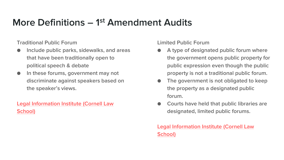# More Definitions - 1<sup>st</sup> Amendment Audits

Traditional Public Forum

- Include public parks, sidewalks, and areas that have been traditionally open to political speech & debate
- **•** In these forums, government may not discriminate against speakers based on the speaker's views.

[Legal Information Institute \(Cornell Law](https://www.law.cornell.edu/wex/forums)  School)

Limited Public Forum

- A type of designated public forum where the government opens public property for public expression even though the public property is not a traditional public forum.
- The government is not obligated to keep the property as a designated public forum.
- Courts have held that public libraries are designated, limited public forums.

[Legal Information Institute \(Cornell Law](https://www.law.cornell.edu/wex/forums)  School)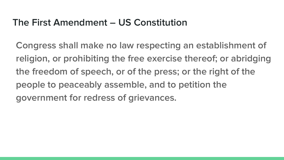# The First Amendment – US Constitution

Congress shall make no law respecting an establishment of religion, or prohibiting the free exercise thereof; or abridging the freedom of speech, or of the press; or the right of the people to peaceably assemble, and to petition the government for redress of grievances.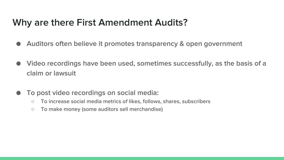## Why are there First Amendment Audits?

- Auditors often believe it promotes transparency & open government
- Video recordings have been used, sometimes successfully, as the basis of a claim or lawsuit
- To post video recordings on social media:
	- To increase social media metrics of likes, follows, shares, subscribers
	- To make money (some auditors sell merchandise)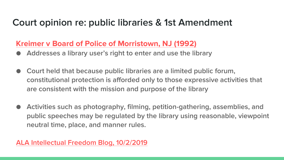# Court opinion re: public libraries & 1st Amendment

### **Kreimer [v Board of Police of Morristown, NJ \(1992\)](https://law.justia.com/cases/federal/appellate-courts/F2/958/1242/371694/)**

- Addresses a library user's right to enter and use the library
- Court held that because public libraries are a limited public forum, constitutional protection is afforded only to those expressive activities that are consistent with the mission and purpose of the library
- Activities such as photography, filming, petition-gathering, assemblies, and public speeches may be regulated by the library using reasonable, viewpoint neutral time, place, and manner rules.

#### [ALA Intellectual Freedom Blog, 10/2/2019](https://www.oif.ala.org/oif/auditing-the-first-amendment-at-your-public-library/)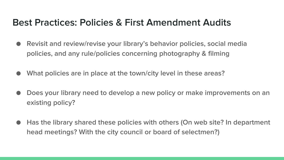# Best Practices: Policies & First Amendment Audits

- Revisit and review/revise your library's behavior policies, social media policies, and any rule/policies concerning photography & filming
- What policies are in place at the town/city level in these areas?
- Does your library need to develop a new policy or make improvements on an existing policy?
- Has the library shared these policies with others (On web site? In department head meetings? With the city council or board of selectmen?)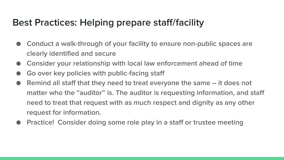# Best Practices: Helping prepare staff/facility

- Conduct a walk-through of your facility to ensure non-public spaces are clearly identified and secure
- Consider your relationship with local law enforcement ahead of time
- Go over key policies with public-facing staff
- Remind all staff that they need to treat everyone the same it does not matter who the "auditor" is. The auditor is requesting information, and staff need to treat that request with as much respect and dignity as any other request for information.
- Practice! Consider doing some role play in a staff or trustee meeting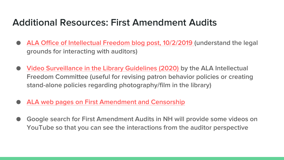## Additional Resources: First Amendment Audits

- [ALA Office of Intellectual Freedom blog post, 10/2/2019 \(](https://www.oif.ala.org/oif/auditing-the-first-amendment-at-your-public-library/)understand the legal grounds for interacting with auditors)
- **[Video Surveillance in the Library Guidelines \(2020\) b](https://www.ala.org/advocacy/privacy/guidelines/videosurveillance)y the ALA Intellectual** Freedom Committee (useful for revising patron behavior policies or creating stand-alone policies regarding photography/film in the library)
- [ALA web pages on First Amendment and Censorship](https://www.ala.org/advocacy/intfreedom/censorship)
- Google search for First Amendment Audits in NH will provide some videos on YouTube so that you can see the interactions from the auditor perspective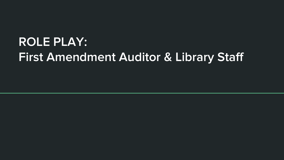# ROLE PLAY: First Amendment Auditor & Library Staff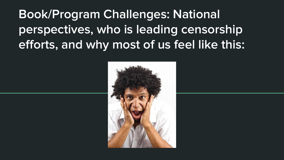Book/Program Challenges: National perspectives, who is leading censorship efforts, and why most of us feel like this:

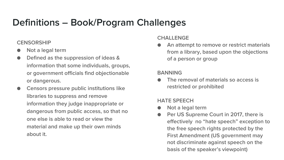# Definitions – Book/Program Challenges

#### **CENSORSHIP**

- Not a legal term
- Defined as the suppression of ideas & information that some individuals, groups, or government officials find objectionable or dangerous.
- Censors pressure public institutions like libraries to suppress and remove information they judge inappropriate or dangerous from public access, so that no one else is able to read or view the material and make up their own minds about it.

#### CHALL FNGF

An attempt to remove or restrict materials from a library, based upon the objections of a person or group

#### BANNING

The removal of materials so access is restricted or prohibited

#### HATE SPEECH

- Not a legal term
- Per US Supreme Court in 2017, there is effectively no "hate speech" exception to the free speech rights protected by the First Amendment (US government may not discriminate against speech on the basis of the speaker's viewpoint)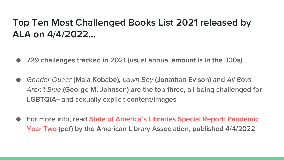# Top Ten Most Challenged Books List 2021 released by ALA on 4/4/2022…

- 729 challenges tracked in 2021 (usual annual amount is in the 300s)
- *Gender Queer* (Maia Kobabe), *Lawn Boy* (Jonathan Evison) and *All Boys Aren't Blue* (George M. Johnson) are the top three, all being challenged for LGBTQIA+ and sexually explicit content/images
- For more info, read State of America's Libraries Special Report: Pandemic Year Two [\(pdf\) by the American Library Association, published 4/4/2022](https://www.ala.org/news/sites/ala.org.news/files/content/state-of-americas-libraries-special-report-pandemic-year-two.pdf)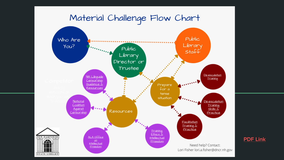### Material Challenge Flow Chart



[PDF Link](https://drive.google.com/file/d/1VN_gz6IxxlPKgQsBMD9x-Gp2dyF87sFr/view?usp=sharing)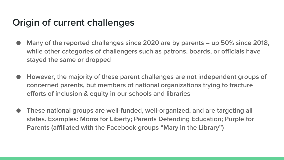# Origin of current challenges

- Many of the reported challenges since 2020 are by parents  $-$  up 50% since 2018, while other categories of challengers such as patrons, boards, or officials have stayed the same or dropped
- However, the majority of these parent challenges are not independent groups of concerned parents, but members of national organizations trying to fracture efforts of inclusion & equity in our schools and libraries
- These national groups are well-funded, well-organized, and are targeting all states. Examples: Moms for Liberty; Parents Defending Education; Purple for Parents (affiliated with the Facebook groups "Mary in the Library")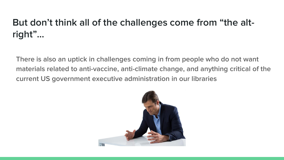# But don't think all of the challenges come from "the altright"…

There is also an uptick in challenges coming in from people who do not want materials related to anti-vaccine, anti-climate change, and anything critical of the current US government executive administration in our libraries

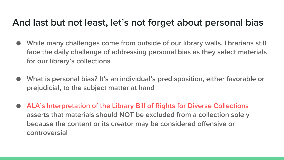## And last but not least, let's not forget about personal bias

- While many challenges come from outside of our library walls, librarians still face the daily challenge of addressing personal bias as they select materials for our library's collections
- What is personal bias? It's an individual's predisposition, either favorable or prejudicial, to the subject matter at hand
- ALA's Interpretation of the Library Bill of Rights for Diverse Collections asserts that materials should NOT be excluded from a collection solely because the content or its creator may be considered offensive or controversial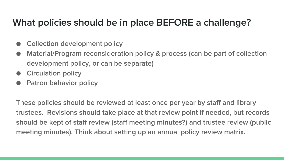# What policies should be in place BEFORE a challenge?

- Collection development policy
- Material/Program reconsideration policy & process (can be part of collection development policy, or can be separate)
- **Circulation policy**
- **Patron behavior policy**

These policies should be reviewed at least once per year by staff and library trustees. Revisions should take place at that review point if needed, but records should be kept of staff review (staff meeting minutes?) and trustee review (public meeting minutes). Think about setting up an annual policy review matrix.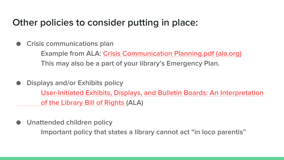### Other policies to consider putting in place:

#### **Crisis communications plan**

Example from ALA: [Crisis Communication Planning.pdf \(ala.org\)](https://www.ala.org/tools/sites/ala.org.tools/files/content/Crisis%20Communication%20Planning.pdf) This may also be a part of your library's Emergency Plan.

- Displays and/or Exhibits policy [User-Initiated Exhibits, Displays, and Bulletin Boards: An Interpretation](https://www.ala.org/advocacy/intfreedom/librarybill/interpretations/exhibitsdisplaysbulletinboards)  of the Library Bill of Rights (ALA)
- Unattended children policy

Important policy that states a library cannot act "in loco parentis"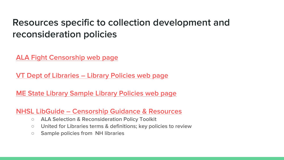# Resources specific to collection development and reconsideration policies

[ALA Fight Censorship web page](https://www.ala.org/advocacy/fight-censorship)

VT Dept of Libraries – [Library Policies web page](https://libraries.vermont.gov/services/public_libraries/library_policies)

[ME State Library Sample Library Policies web page](https://www.maine.gov/msl/libs/admin/policies/)

NHSL LibGuide – [Censorship Guidance & Resources](https://nhsl.libguides.com/divisiveconcepts)

- ALA Selection & Reconsideration Policy Toolkit
- United for Libraries terms & definitions; key policies to review
- Sample policies from NH libraries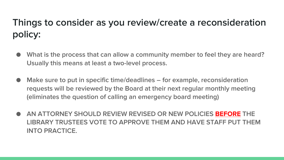# Things to consider as you review/create a reconsideration policy:

- What is the process that can allow a community member to feel they are heard? Usually this means at least a two-level process.
- Make sure to put in specific time/deadlines for example, reconsideration requests will be reviewed by the Board at their next regular monthly meeting (eliminates the question of calling an emergency board meeting)
- AN ATTORNEY SHOULD REVIEW REVISED OR NEW POLICIES **BEFORE** THE LIBRARY TRUSTEES VOTE TO APPROVE THEM AND HAVE STAFF PUT THEM INTO PRACTICE.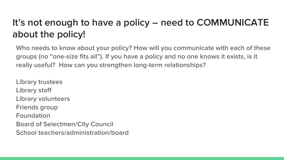# It's not enough to have a policy – need to COMMUNICATE about the policy!

Who needs to know about your policy? How will you communicate with each of these groups (no "one-size fits all"). If you have a policy and no one knows it exists, is it really useful? How can you strengthen long-term relationships?

Library trustees Library staff Library volunteers Friends group Foundation Board of Selectmen/City Council School teachers/administration/board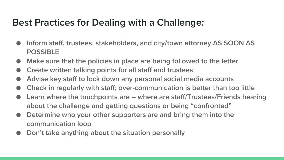# Best Practices for Dealing with a Challenge:

- Inform staff, trustees, stakeholders, and city/town attorney AS SOON AS POSSIBLE
- Make sure that the policies in place are being followed to the letter
- Create written talking points for all staff and trustees
- Advise key staff to lock down any personal social media accounts
- Check in regularly with staff; over-communication is better than too little
- Learn where the touchpoints are where are staff/Trustees/Friends hearing about the challenge and getting questions or being "confronted"
- Determine who your other supporters are and bring them into the communication loop
- Don't take anything about the situation personally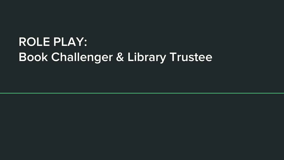# ROLE PLAY: Book Challenger & Library Trustee